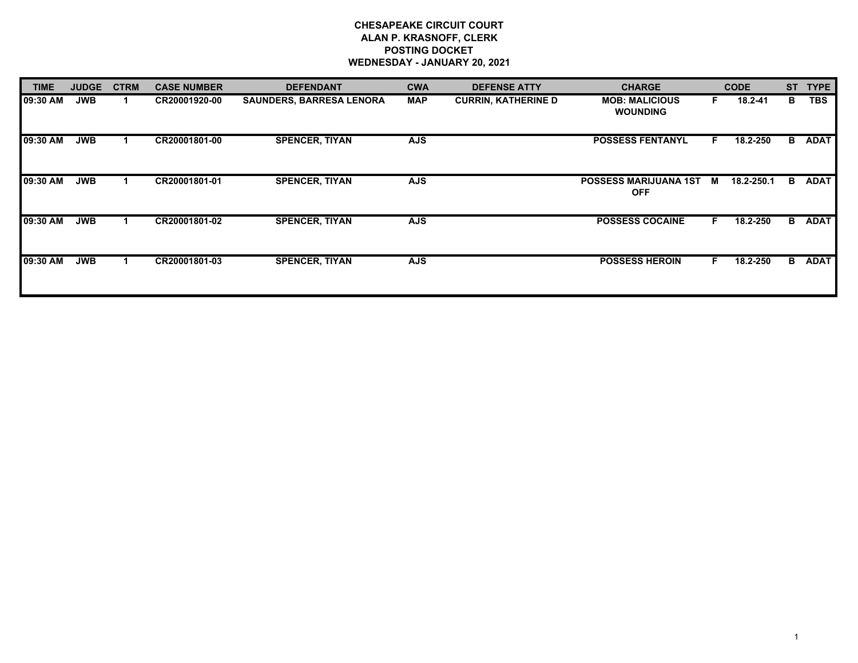## **CHESAPEAKE CIRCUIT COURT ALAN P. KRASNOFF, CLERK POSTING DOCKET WEDNESDAY - JANUARY 20, 2021**

| <b>TIME</b> | <b>JUDGE</b> | <b>CTRM</b> | <b>CASE NUMBER</b> | <b>DEFENDANT</b>                | <b>CWA</b> | <b>DEFENSE ATTY</b>        | <b>CHARGE</b>                              |    | <b>CODE</b> | <b>ST</b> | <b>TYPE</b> |
|-------------|--------------|-------------|--------------------|---------------------------------|------------|----------------------------|--------------------------------------------|----|-------------|-----------|-------------|
| 09:30 AM    | <b>JWB</b>   |             | CR20001920-00      | <b>SAUNDERS, BARRESA LENORA</b> | <b>MAP</b> | <b>CURRIN, KATHERINE D</b> | <b>MOB: MALICIOUS</b><br><b>WOUNDING</b>   | F. | 18.2-41     | в         | <b>TBS</b>  |
| 09:30 AM    | <b>JWB</b>   |             | CR20001801-00      | <b>SPENCER, TIYAN</b>           | <b>AJS</b> |                            | <b>POSSESS FENTANYL</b>                    | F. | 18.2-250    | B         | <b>ADAT</b> |
| 09:30 AM    | <b>JWB</b>   |             | CR20001801-01      | <b>SPENCER, TIYAN</b>           | <b>AJS</b> |                            | <b>POSSESS MARIJUANA 1ST</b><br><b>OFF</b> | M  | 18.2-250.1  | в         | <b>ADAT</b> |
| 09:30 AM    | <b>JWB</b>   |             | CR20001801-02      | <b>SPENCER, TIYAN</b>           | <b>AJS</b> |                            | <b>POSSESS COCAINE</b>                     | F. | 18.2-250    | B.        | <b>ADAT</b> |
| 09:30 AM    | <b>JWB</b>   |             | CR20001801-03      | <b>SPENCER, TIYAN</b>           | <b>AJS</b> |                            | <b>POSSESS HEROIN</b>                      | F. | 18.2-250    | B         | <b>ADAT</b> |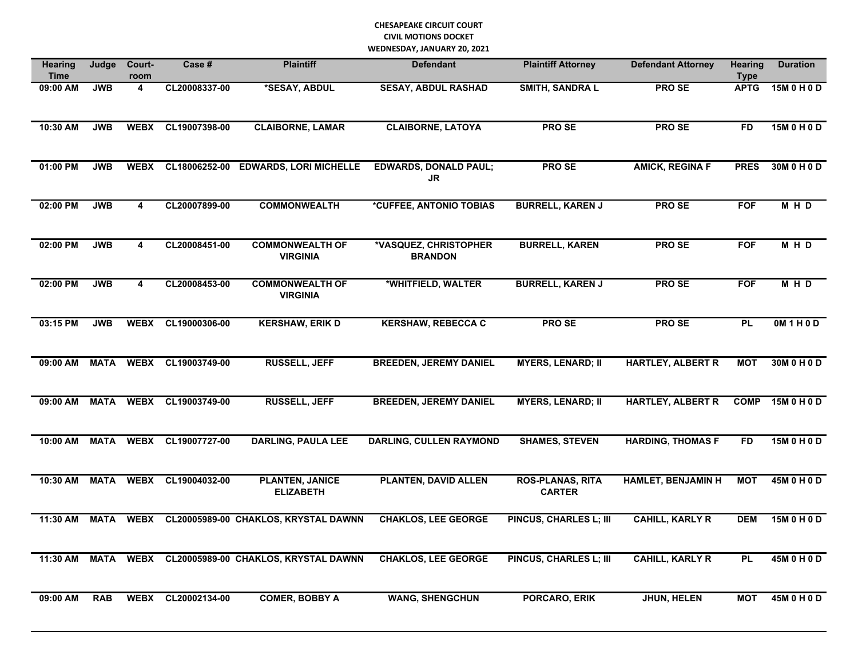## **CHESAPEAKE CIRCUIT COURT CIVIL MOTIONS DOCKET WEDNESDAY, JANUARY 20, 2021**

| <b>Hearing</b><br>Time | Judge       | Court-<br>room          | Case #        | <b>Plaintiff</b>                           | <b>Defendant</b>                          | <b>Plaintiff Attorney</b>                | <b>Defendant Attorney</b> | <b>Hearing</b><br><b>Type</b> | <b>Duration</b>   |
|------------------------|-------------|-------------------------|---------------|--------------------------------------------|-------------------------------------------|------------------------------------------|---------------------------|-------------------------------|-------------------|
| 09:00 AM               | <b>JWB</b>  | 4                       | CL20008337-00 | *SESAY, ABDUL                              | <b>SESAY, ABDUL RASHAD</b>                | <b>SMITH, SANDRA L</b>                   | <b>PROSE</b>              | <b>APTG</b>                   | 15M 0 H 0 D       |
| 10:30 AM               | <b>JWB</b>  | <b>WEBX</b>             | CL19007398-00 | <b>CLAIBORNE, LAMAR</b>                    | <b>CLAIBORNE, LATOYA</b>                  | <b>PROSE</b>                             | <b>PROSE</b>              | <b>FD</b>                     | 15M 0 H 0 D       |
| 01:00 PM               | <b>JWB</b>  | <b>WEBX</b>             | CL18006252-00 | <b>EDWARDS, LORI MICHELLE</b>              | <b>EDWARDS, DONALD PAUL;</b><br><b>JR</b> | PRO SE                                   | <b>AMICK, REGINA F</b>    | <b>PRES</b>                   | 30M 0 H 0 D       |
| 02:00 PM               | <b>JWB</b>  | 4                       | CL20007899-00 | <b>COMMONWEALTH</b>                        | *CUFFEE, ANTONIO TOBIAS                   | <b>BURRELL, KAREN J</b>                  | <b>PROSE</b>              | <b>FOF</b>                    | M H D             |
| 02:00 PM               | <b>JWB</b>  | $\overline{\mathbf{4}}$ | CL20008451-00 | <b>COMMONWEALTH OF</b><br><b>VIRGINIA</b>  | *VASQUEZ, CHRISTOPHER<br><b>BRANDON</b>   | <b>BURRELL, KAREN</b>                    | PRO SE                    | <b>FOF</b>                    | MHD               |
| 02:00 PM               | <b>JWB</b>  | 4                       | CL20008453-00 | <b>COMMONWEALTH OF</b><br><b>VIRGINIA</b>  | *WHITFIELD, WALTER                        | <b>BURRELL, KAREN J</b>                  | PRO SE                    | <b>FOF</b>                    | M H D             |
| 03:15 PM               | <b>JWB</b>  | <b>WEBX</b>             | CL19000306-00 | <b>KERSHAW, ERIK D</b>                     | <b>KERSHAW, REBECCA C</b>                 | <b>PROSE</b>                             | <b>PROSE</b>              | <b>PL</b>                     | <b>OM 1 H 0 D</b> |
| 09:00 AM               | <b>MATA</b> | <b>WEBX</b>             | CL19003749-00 | <b>RUSSELL, JEFF</b>                       | <b>BREEDEN, JEREMY DANIEL</b>             | <b>MYERS, LENARD; II</b>                 | <b>HARTLEY, ALBERT R</b>  | <b>MOT</b>                    | 30M 0 H 0 D       |
| 09:00 AM               | <b>MATA</b> | <b>WEBX</b>             | CL19003749-00 | <b>RUSSELL, JEFF</b>                       | <b>BREEDEN, JEREMY DANIEL</b>             | <b>MYERS, LENARD; II</b>                 | <b>HARTLEY, ALBERT R</b>  | <b>COMP</b>                   | 15M 0 H 0 D       |
| 10:00 AM               | <b>MATA</b> | <b>WEBX</b>             | CL19007727-00 | <b>DARLING, PAULA LEE</b>                  | <b>DARLING, CULLEN RAYMOND</b>            | <b>SHAMES, STEVEN</b>                    | <b>HARDING, THOMAS F</b>  | <b>FD</b>                     | 15M 0 H 0 D       |
| 10:30 AM               | <b>MATA</b> | <b>WEBX</b>             | CL19004032-00 | <b>PLANTEN, JANICE</b><br><b>ELIZABETH</b> | <b>PLANTEN, DAVID ALLEN</b>               | <b>ROS-PLANAS, RITA</b><br><b>CARTER</b> | <b>HAMLET, BENJAMIN H</b> | <b>MOT</b>                    | 45M 0 H 0 D       |
| 11:30 AM               | <b>MATA</b> | <b>WEBX</b>             |               | CL20005989-00 CHAKLOS, KRYSTAL DAWNN       | <b>CHAKLOS, LEE GEORGE</b>                | <b>PINCUS, CHARLES L; III</b>            | <b>CAHILL, KARLY R</b>    | <b>DEM</b>                    | 15M 0 H 0 D       |
| 11:30 AM               | MATA        |                         |               | WEBX CL20005989-00 CHAKLOS, KRYSTAL DAWNN  | <b>CHAKLOS, LEE GEORGE</b>                | <b>PINCUS, CHARLES L; III</b>            | <b>CAHILL, KARLY R</b>    | <b>PL</b>                     | 45M 0 H 0 D       |
| 09:00 AM               | <b>RAB</b>  | <b>WEBX</b>             | CL20002134-00 | <b>COMER, BOBBY A</b>                      | <b>WANG, SHENGCHUN</b>                    | <b>PORCARO, ERIK</b>                     | <b>JHUN, HELEN</b>        | <b>MOT</b>                    | 45M 0 H 0 D       |